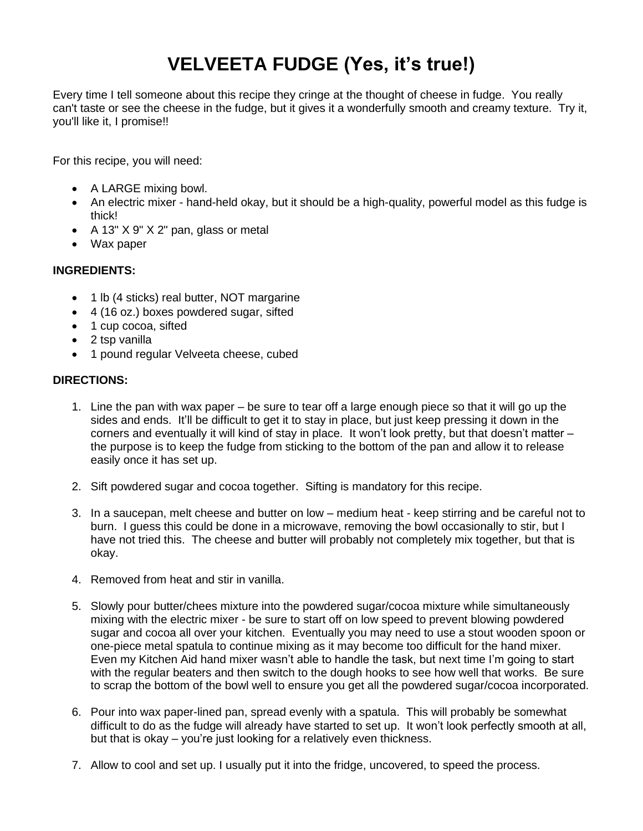## **VELVEETA FUDGE (Yes, it's true!)**

Every time I tell someone about this recipe they cringe at the thought of cheese in fudge. You really can't taste or see the cheese in the fudge, but it gives it a wonderfully smooth and creamy texture. Try it, you'll like it, I promise!!

For this recipe, you will need:

- A LARGE mixing bowl.
- An electric mixer hand-held okay, but it should be a high-quality, powerful model as this fudge is thick!
- A 13" X 9" X 2" pan, glass or metal
- Wax paper

## **INGREDIENTS:**

- 1 lb (4 sticks) real butter, NOT margarine
- 4 (16 oz.) boxes powdered sugar, sifted
- 1 cup cocoa, sifted
- 2 tsp vanilla
- 1 pound regular Velveeta cheese, cubed

## **DIRECTIONS:**

- 1. Line the pan with wax paper be sure to tear off a large enough piece so that it will go up the sides and ends. It'll be difficult to get it to stay in place, but just keep pressing it down in the corners and eventually it will kind of stay in place. It won't look pretty, but that doesn't matter – the purpose is to keep the fudge from sticking to the bottom of the pan and allow it to release easily once it has set up.
- 2. Sift powdered sugar and cocoa together. Sifting is mandatory for this recipe.
- 3. In a saucepan, melt cheese and butter on low medium heat keep stirring and be careful not to burn. I guess this could be done in a microwave, removing the bowl occasionally to stir, but I have not tried this. The cheese and butter will probably not completely mix together, but that is okay.
- 4. Removed from heat and stir in vanilla.
- 5. Slowly pour butter/chees mixture into the powdered sugar/cocoa mixture while simultaneously mixing with the electric mixer - be sure to start off on low speed to prevent blowing powdered sugar and cocoa all over your kitchen. Eventually you may need to use a stout wooden spoon or one-piece metal spatula to continue mixing as it may become too difficult for the hand mixer. Even my Kitchen Aid hand mixer wasn't able to handle the task, but next time I'm going to start with the regular beaters and then switch to the dough hooks to see how well that works. Be sure to scrap the bottom of the bowl well to ensure you get all the powdered sugar/cocoa incorporated.
- 6. Pour into wax paper-lined pan, spread evenly with a spatula. This will probably be somewhat difficult to do as the fudge will already have started to set up. It won't look perfectly smooth at all, but that is okay – you're just looking for a relatively even thickness.
- 7. Allow to cool and set up. I usually put it into the fridge, uncovered, to speed the process.